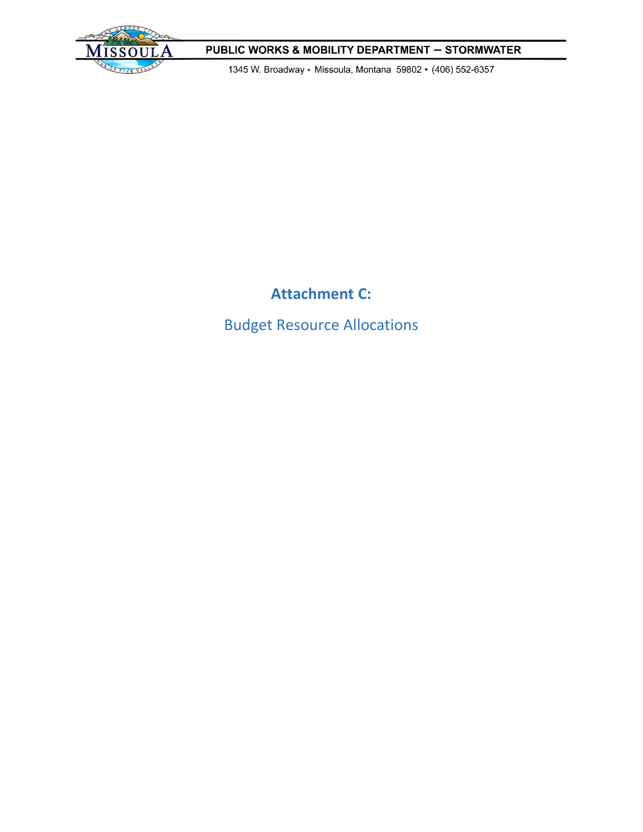

1345 W. Broadway · Missoula, Montana 59802 · (406) 552-6357

# **Attachment C:**

Budget Resource Allocations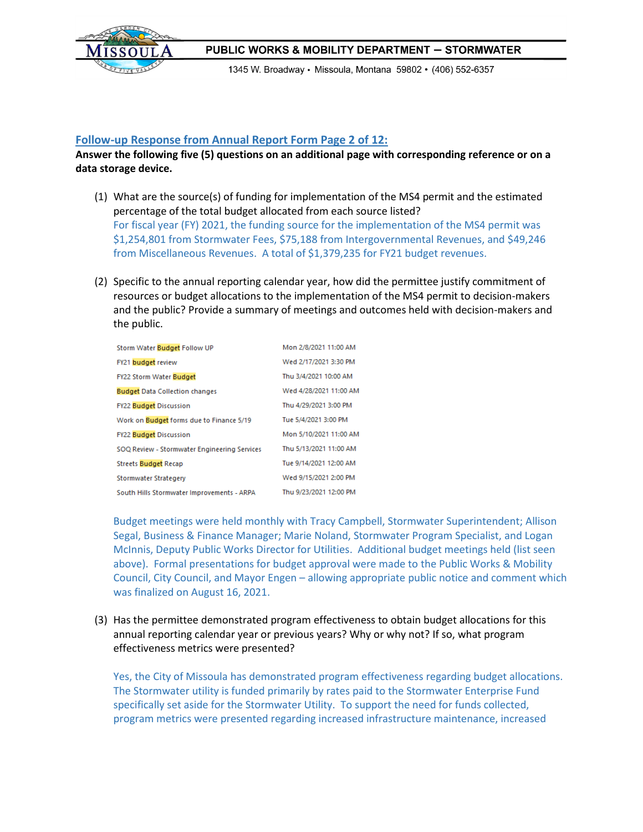

1345 W. Broadway · Missoula, Montana 59802 · (406) 552-6357

#### **Follow-up Response from Annual Report Form Page 2 of 12:**

### **Answer the following five (5) questions on an additional page with corresponding reference or on a data storage device.**

- (1) What are the source(s) of funding for implementation of the MS4 permit and the estimated percentage of the total budget allocated from each source listed? For fiscal year (FY) 2021, the funding source for the implementation of the MS4 permit was \$1,254,801 from Stormwater Fees, \$75,188 from Intergovernmental Revenues, and \$49,246 from Miscellaneous Revenues. A total of \$1,379,235 for FY21 budget revenues.
- (2) Specific to the annual reporting calendar year, how did the permittee justify commitment of resources or budget allocations to the implementation of the MS4 permit to decision-makers and the public? Provide a summary of meetings and outcomes held with decision-makers and the public.

| Storm Water Budget Follow UP                 | Mon 2/8/2021 11:00 AM  |
|----------------------------------------------|------------------------|
| FY21 budget review                           | Wed 2/17/2021 3:30 PM  |
| <b>FY22 Storm Water Budget</b>               | Thu 3/4/2021 10:00 AM  |
| <b>Budget Data Collection changes</b>        | Wed 4/28/2021 11:00 AM |
| <b>FY22 Budget Discussion</b>                | Thu 4/29/2021 3:00 PM  |
| Work on Budget forms due to Finance 5/19     | Tue 5/4/2021 3:00 PM   |
| <b>FY22 Budget Discussion</b>                | Mon 5/10/2021 11:00 AM |
| SOQ Review - Stormwater Engineering Services | Thu 5/13/2021 11:00 AM |
| <b>Streets Budget Recap</b>                  | Tue 9/14/2021 12:00 AM |
| Stormwater Strategery                        | Wed 9/15/2021 2:00 PM  |
| South Hills Stormwater Improvements - ARPA   | Thu 9/23/2021 12:00 PM |

Budget meetings were held monthly with Tracy Campbell, Stormwater Superintendent; Allison Segal, Business & Finance Manager; Marie Noland, Stormwater Program Specialist, and Logan McInnis, Deputy Public Works Director for Utilities. Additional budget meetings held (list seen above). Formal presentations for budget approval were made to the Public Works & Mobility Council, City Council, and Mayor Engen – allowing appropriate public notice and comment which was finalized on August 16, 2021.

(3) Has the permittee demonstrated program effectiveness to obtain budget allocations for this annual reporting calendar year or previous years? Why or why not? If so, what program effectiveness metrics were presented?

Yes, the City of Missoula has demonstrated program effectiveness regarding budget allocations. The Stormwater utility is funded primarily by rates paid to the Stormwater Enterprise Fund specifically set aside for the Stormwater Utility. To support the need for funds collected, program metrics were presented regarding increased infrastructure maintenance, increased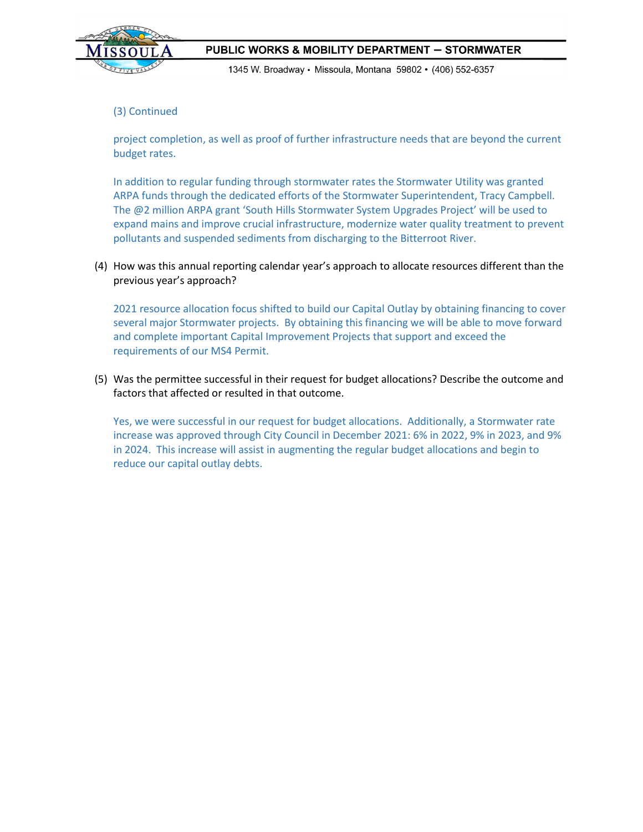

1345 W. Broadway · Missoula, Montana 59802 · (406) 552-6357

#### (3) Continued

project completion, as well as proof of further infrastructure needs that are beyond the current budget rates.

In addition to regular funding through stormwater rates the Stormwater Utility was granted ARPA funds through the dedicated efforts of the Stormwater Superintendent, Tracy Campbell. The @2 million ARPA grant 'South Hills Stormwater System Upgrades Project' will be used to expand mains and improve crucial infrastructure, modernize water quality treatment to prevent pollutants and suspended sediments from discharging to the Bitterroot River.

(4) How was this annual reporting calendar year's approach to allocate resources different than the previous year's approach?

2021 resource allocation focus shifted to build our Capital Outlay by obtaining financing to cover several major Stormwater projects. By obtaining this financing we will be able to move forward and complete important Capital Improvement Projects that support and exceed the requirements of our MS4 Permit.

(5) Was the permittee successful in their request for budget allocations? Describe the outcome and factors that affected or resulted in that outcome.

Yes, we were successful in our request for budget allocations. Additionally, a Stormwater rate increase was approved through City Council in December 2021: 6% in 2022, 9% in 2023, and 9% in 2024. This increase will assist in augmenting the regular budget allocations and begin to reduce our capital outlay debts.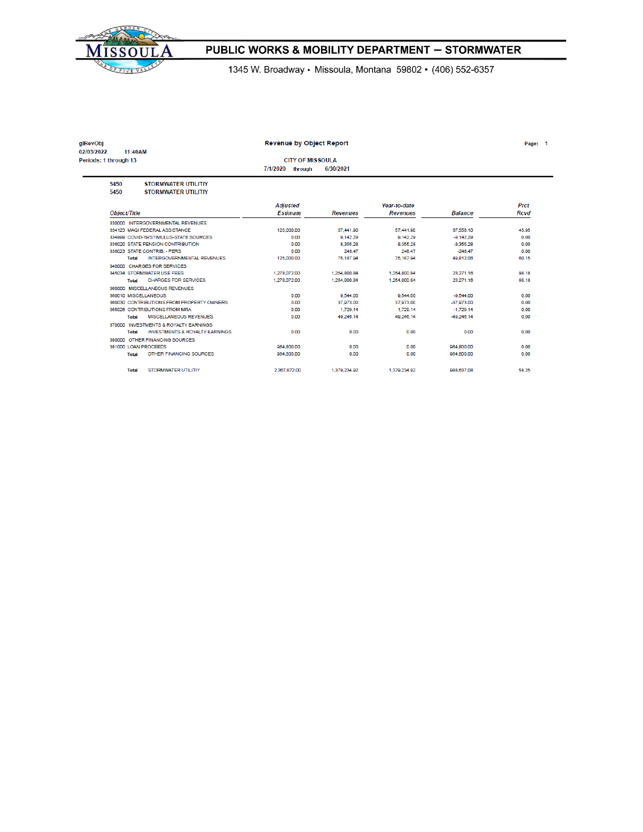

1345 W. Broadway · Missoula, Montana 59802 · (406) 552-6357

| glRevObj                            |                                                          | <b>Revenue by Object Report</b>                |                 |                                 |                | Page: 1      |
|-------------------------------------|----------------------------------------------------------|------------------------------------------------|-----------------|---------------------------------|----------------|--------------|
| 02/03/2022<br>Periods: 1 through 13 | 11:40AM                                                  | <b>CITY OF MISSOULA</b><br>7/1/2020<br>through | 6/30/2021       |                                 |                |              |
| 5450<br>5450                        | <b>STORMWATER UTILITIY</b><br><b>STORMWATER UTILITIY</b> |                                                |                 |                                 |                |              |
| Object/Title                        |                                                          | <b>Adjusted</b><br><b>Estimate</b>             | <b>Revenues</b> | Year-to-date<br><b>Revenues</b> | <b>Balance</b> | Prct<br>Rcvd |
|                                     | 330000 INTERGOVERNMENTAL REVENUES                        |                                                |                 |                                 |                |              |
|                                     | 334123 MAQI FEDERAL ASSISTANCE                           | 125,000.00                                     | 57.441.90       | 57.441.90                       | 67.558.10      | 45.95        |
|                                     | 334999 COVID-19/STIMULUS-STATE SOURCES                   | 0.00                                           | 9.142.29        | 9.142.29                        | $-9.142.29$    | 0.00         |
|                                     | 336020 STATE PENSION CONTRIBUTION                        | 0.00                                           | 8,355.28        | 8,355,28                        | $-8.355.28$    | 0.00         |
|                                     | 336023 STATE CONTRIB. - PERS                             | 0.00                                           | 248.47          | 248.47                          | $-248.47$      | 0.00         |
| Total                               | <b>INTERGOVERNMENTAL REVENUES</b>                        | 125,000.00                                     | 75.187.94       | 75.187.94                       | 49.812.06      | 60.15        |
|                                     | 340000 CHARGES FOR SERVICES                              |                                                |                 |                                 |                |              |
|                                     | 345034 STORMWATER USE FEES                               | 1.278.072.00                                   | 1.254.800.84    | 1.254.800.84                    | 23.271.16      | 98.18        |
| Total                               | <b>CHARGES FOR SERVICES</b>                              | 1.278.072.00                                   | 1.254.800.84    | 1.254.800.84                    | 23,271.16      | 98.18        |
|                                     | 360000 MISCELLANEOUS REVENUES                            |                                                |                 |                                 |                |              |
|                                     | 360010 MISCELLANEOUS                                     | 0.00                                           | 9,544.00        | 9,544.00                        | $-9.544.00$    | 0.00         |
|                                     | 360030 CONTRIBUTIONS FROM PROPERTY OWNERS                | 0.00                                           | 37,973.00       | 37,973.00                       | $-37.973.00$   | 0.00         |
|                                     | 365026 CONTRIBUTIONS FROM MRA                            | 0.00                                           | 1,729.14        | 1,729.14                        | $-1,729.14$    | 0.00         |
| Total                               | <b>MISCELLANEOUS REVENUES</b>                            | 0.00                                           | 49.246.14       | 49.246.14                       | -49.246.14     | 0.00         |
|                                     | 370000 INVESTMENTS & ROYALTY EARNINGS                    |                                                |                 |                                 |                |              |
| <b>Total</b>                        | <b>INVESTMENTS &amp; ROYALTY EARNINGS</b>                | 0.00                                           | 0.00            | 0.00                            | 0.00           | 0.00         |
|                                     | 380000 OTHER FINANCING SOURCES                           |                                                |                 |                                 |                |              |
|                                     | 381000 LOAN PROCEEDS                                     | 964.800.00                                     | 0.00            | 0.00                            | 964.800.00     | 0.00         |
| Total                               | OTHER FINANCING SOURCES                                  | 964.800.00                                     | 0.00            | 0.00                            | 964,800.00     | 0.00         |
| <b>Total</b>                        | <b>STORMWATER UTILITIY</b>                               | 2.367.872.00                                   | 1.379.234.92    | 1.379.234.92                    | 988,637.08     | 58.25        |